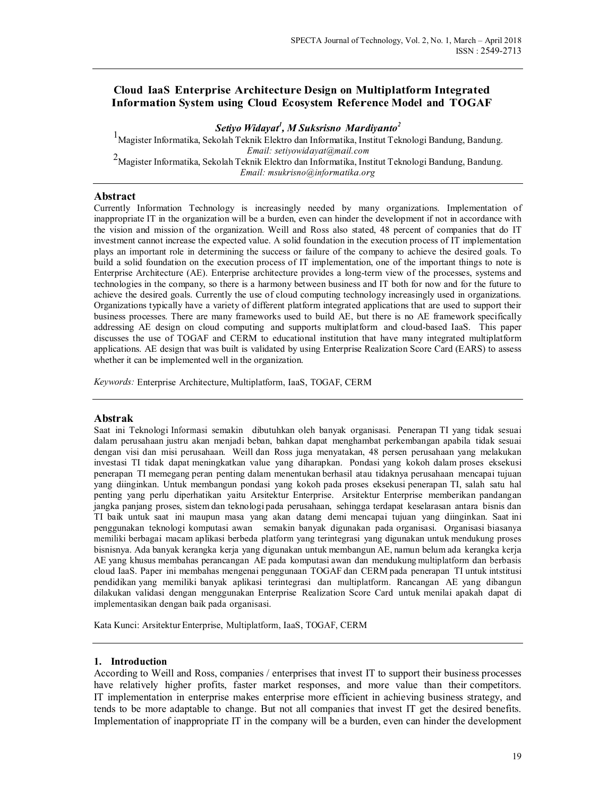# Cloud IaaS Enterprise Architecture Design on Multiplatform Integrated Information System using Cloud Ecosystem Reference Model and TOGAF

Setiyo Widayat<sup>1</sup>, M Suksrisno Mardiyanto<sup>2</sup>

1Magister Informatika, Sekolah Teknik Elektro dan Informatika, Institut Teknologi Bandung, Bandung. Email: setiyowidayat@mail.com  $2$ Magister Informatika, Sekolah Teknik Elektro dan Informatika, Institut Teknologi Bandung, Bandung. Email: msukrisno@informatika.org

### Abstract

Currently Information Technology is increasingly needed by many organizations. Implementation of inappropriate IT in the organization will be a burden, even can hinder the development if not in accordance with the vision and mission of the organization. Weill and Ross also stated, 48 percent of companies that do IT investment cannot increase the expected value. A solid foundation in the execution process of IT implementation plays an important role in determining the success or failure of the company to achieve the desired goals. To build a solid foundation on the execution process of IT implementation, one of the important things to note is Enterprise Architecture (AE). Enterprise architecture provides a long-term view of the processes, systems and technologies in the company, so there is a harmony between business and IT both for now and for the future to achieve the desired goals. Currently the use of cloud computing technology increasingly used in organizations. Organizations typically have a variety of different platform integrated applications that are used to support their business processes. There are many frameworks used to build AE, but there is no AE framework specifically addressing AE design on cloud computing and supports multiplatform and cloud-based IaaS. This paper discusses the use of TOGAF and CERM to educational institution that have many integrated multiplatform applications. AE design that was built is validated by using Enterprise Realization Score Card (EARS) to assess whether it can be implemented well in the organization.

Keywords: Enterprise Architecture, Multiplatform, IaaS, TOGAF, CERM

#### Abstrak

Saat ini Teknologi Informasi semakin dibutuhkan oleh banyak organisasi. Penerapan TI yang tidak sesuai dalam perusahaan justru akan menjadi beban, bahkan dapat menghambat perkembangan apabila tidak sesuai dengan visi dan misi perusahaan. Weill dan Ross juga menyatakan, 48 persen perusahaan yang melakukan investasi TI tidak dapat meningkatkan value yang diharapkan. Pondasi yang kokoh dalam proses eksekusi penerapan TI memegang peran penting dalam menentukan berhasil atau tidaknya perusahaan mencapai tujuan yang diinginkan. Untuk membangun pondasi yang kokoh pada proses eksekusi penerapan TI, salah satu hal jangka panjang proses, sistem dan teknologi pada perusahaan, sehingga terdapat keselarasan antara bisnis dan<br>TI baik untuk saat ini maupun masa yang akan datang demi mencapai tujuan yang diinginkan. Saat ini penggunakan teknologi komputasi awan semakin banyak digunakan pada organisasi. Organisasi biasanya<br>memiliki berbagai macam aplikasi berbeda platform yang terintegrasi yang digunakan untuk mendukung proses<br>bisnisnya. Ada ba AE yang khusus membahas perancangan AE pada komputasi awan dan mendukung multiplatform dan berbasis cloud IaaS. Paper ini membahas mengenai penggunaan TOGAF dan CERM pada penerapan TI untuk intstitusi pendidikan yang memiliki banyak aplikasi terintegrasi dan multiplatform. Rancangan AE yang dibangun dilakukan validasi dengan menggunakan Enterprise Realization Score Card untuk menilai apakah dapat di

Kata Kunci: Arsitektur Enterprise, Multiplatform, IaaS, TOGAF, CERM

#### 1. Introduction

According to Weill and Ross, companies / enterprises that invest IT to support their business processes have relatively higher profits, faster market responses, and more value than their competitors. IT implementation in enterprise makes enterprise more efficient in achieving business strategy, and tends to be more adaptable to change. But not all companies that invest IT get the desired benefits. Implementation of inappropriate IT in the company will be a burden, even can hinder the development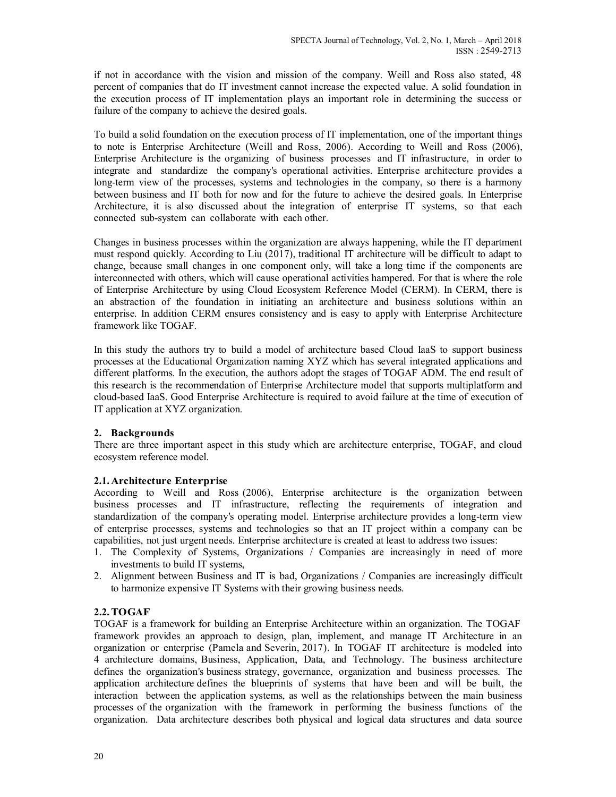if not in accordance with the vision and mission of the company. Weill and Ross also stated, 48 percent of companies that do IT investment cannot increase the expected value. A solid foundation in the execution process of IT implementation plays an important role in determining the success or failure of the company to achieve the desired goals.

To build a solid foundation on the execution process of IT implementation, one of the important things to note is Enterprise Architecture (Weill and Ross, 2006). According to Weill and Ross (2006), Enterprise Architecture is the organizing of business processes and IT infrastructure, in order to integrate and standardize the company's operational activities. Enterprise architecture provides a long-term view of the processes, systems and technologies in the company, so there is a harmony between business and IT both for now and for the future to achieve the desired goals. In Enterprise Architecture, it is also discussed about the integration of enterprise IT systems, so that each connected sub-system can collaborate with each other.

Changes in business processes within the organization are always happening, while the IT department must respond quickly. According to Liu (2017), traditional IT architecture will be difficult to adapt to change, because small changes in one component only, will take a long time if the components are interconnected with others, which will cause operational activities hampered. For that is where the role of Enterprise Architecture by using Cloud Ecosystem Reference Model (CERM). In CERM, there is an abstraction of the foundation in initiating an architecture and business solutions within an enterprise. In addition CERM ensures consistency and is easy to apply with Enterprise Architecture framework like TOGAF.

In this study the authors try to build a model of architecture based Cloud IaaS to support business processes at the Educational Organization naming XYZ which has several integrated applications and different platforms. In the execution, the authors adopt the stages of TOGAF ADM. The end result of this research is the recommendation of Enterprise Architecture model that supports multiplatform and cloud-based IaaS. Good Enterprise Architecture is required to avoid failure at the time of execution of IT application at XYZ organization.

## 2. Backgrounds

There are three important aspect in this study which are architecture enterprise, TOGAF, and cloud ecosystem reference model.

### 2.1. Architecture Enterprise

According to Weill and Ross (2006), Enterprise architecture is the organization between business processes and IT infrastructure, reflecting the requirements of integration and standardization of the company's operating model. Enterprise architecture provides a long-term view of enterprise processes, systems and technologies so that an IT project within a company can be capabilities, not just urgent needs. Enterprise architecture is created at least to address two issues:

- 1. The Complexity of Systems, Organizations / Companies are increasingly in need of more investments to build IT systems,
- 2. Alignment between Business and IT is bad, Organizations / Companies are increasingly difficult to harmonize expensive IT Systems with their growing business needs.

## 2.2. TOGAF

TOGAF is a framework for building an Enterprise Architecture within an organization. The TOGAF framework provides an approach to design, plan, implement, and manage IT Architecture in an organization or enterprise (Pamela and Severin, 2017). In TOGAF IT architecture is modeled into 4 architecture domains, Business, Application, Data, and Technology. The business architecture defines the organization's business strategy, governance, organization and business processes. The application architecture defines the blueprints of systems that have been and will be built, the interaction between the application systems, as well as the relationships between the main business processes of the organization with the framework in performing the business functions of the organization. Data architecture describes both physical and logical data structures and data source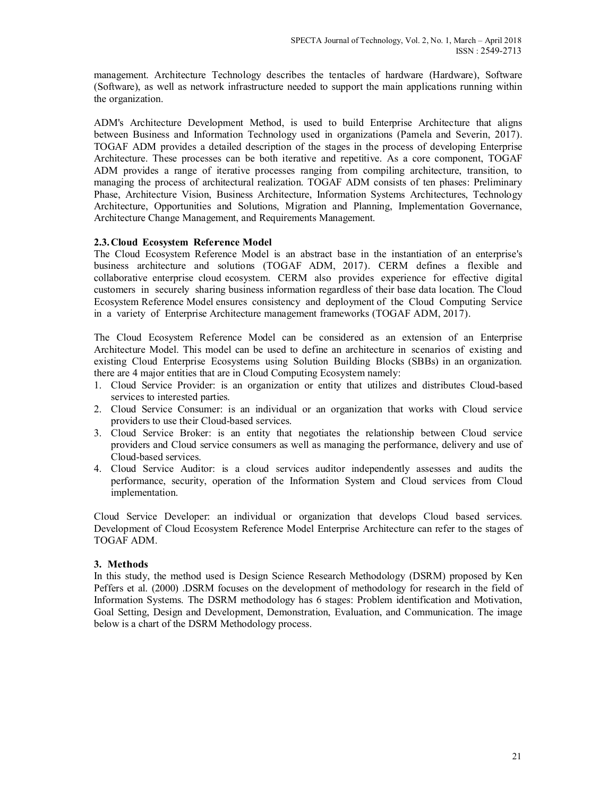management. Architecture Technology describes the tentacles of hardware (Hardware), Software (Software), as well as network infrastructure needed to support the main applications running within the organization.

ADM's Architecture Development Method, is used to build Enterprise Architecture that aligns between Business and Information Technology used in organizations (Pamela and Severin, 2017). TOGAF ADM provides a detailed description of the stages in the process of developing Enterprise Architecture. These processes can be both iterative and repetitive. As a core component, TOGAF ADM provides a range of iterative processes ranging from compiling architecture, transition, to managing the process of architectural realization. TOGAF ADM consists of ten phases: Preliminary Phase, Architecture Vision, Business Architecture, Information Systems Architectures, Technology Architecture, Opportunities and Solutions, Migration and Planning, Implementation Governance, Architecture Change Management, and Requirements Management.

### 2.3. Cloud Ecosystem Reference Model

The Cloud Ecosystem Reference Model is an abstract base in the instantiation of an enterprise's business architecture and solutions (TOGAF ADM, 2017). CERM defines a flexible and collaborative enterprise cloud ecosystem. CERM also provides experience for effective digital customers in securely sharing business information regardless of their base data location. The Cloud Ecosystem Reference Model ensures consistency and deployment of the Cloud Computing Service in a variety of Enterprise Architecture management frameworks (TOGAF ADM, 2017).

The Cloud Ecosystem Reference Model can be considered as an extension of an Enterprise Architecture Model. This model can be used to define an architecture in scenarios of existing and existing Cloud Enterprise Ecosystems using Solution Building Blocks (SBBs) in an organization. there are 4 major entities that are in Cloud Computing Ecosystem namely:

- 1. Cloud Service Provider: is an organization or entity that utilizes and distributes Cloud-based services to interested parties.
- 2. Cloud Service Consumer: is an individual or an organization that works with Cloud service providers to use their Cloud-based services.
- 3. Cloud Service Broker: is an entity that negotiates the relationship between Cloud service providers and Cloud service consumers as well as managing the performance, delivery and use of Cloud-based services.
- 4. Cloud Service Auditor: is a cloud services auditor independently assesses and audits the performance, security, operation of the Information System and Cloud services from Cloud implementation.

Cloud Service Developer: an individual or organization that develops Cloud based services. Development of Cloud Ecosystem Reference Model Enterprise Architecture can refer to the stages of TOGAF ADM.

### 3. Methods

In this study, the method used is Design Science Research Methodology (DSRM) proposed by Ken Peffers et al. (2000) .DSRM focuses on the development of methodology for research in the field of Information Systems. The DSRM methodology has 6 stages: Problem identification and Motivation, Goal Setting, Design and Development, Demonstration, Evaluation, and Communication. The image below is a chart of the DSRM Methodology process.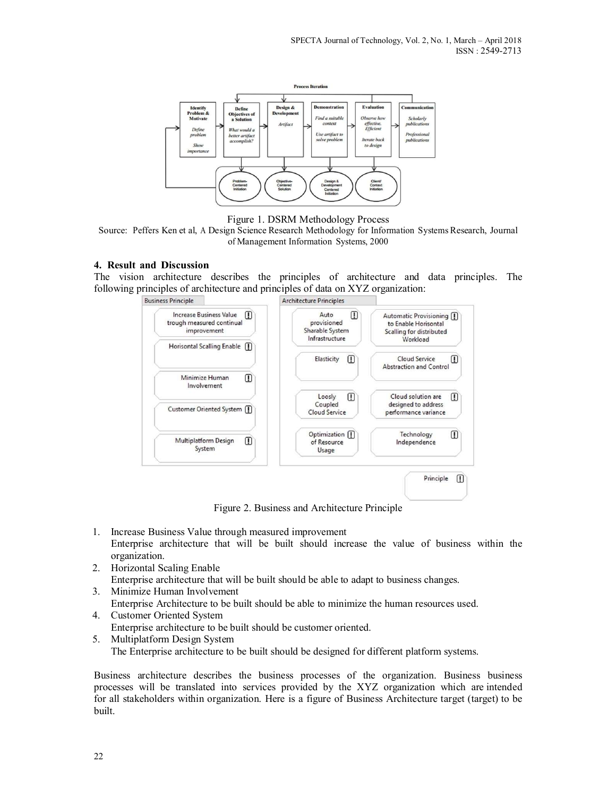

#### Figure 1. DSRM Methodology Process

Source: Peffers Ken et al, A Design Science Research Methodology for Information Systems Research, Journal of Management Information Systems, 2000

#### 4. Result and Discussion

The vision architecture describes the principles of architecture and data principles. The following principles of architecture and principles of data on XYZ organization:



Figure 2. Business and Architecture Principle

- 1. Increase Business Value through measured improvement Enterprise architecture that will be built should increase the value of business within the organization.
- 2. Horizontal Scaling Enable Enterprise architecture that will be built should be able to adapt to business changes.
- 3. Minimize Human Involvement Enterprise Architecture to be built should be able to minimize the human resources used.
- 4. Customer Oriented System Enterprise architecture to be built should be customer oriented.
- 5. Multiplatform Design System The Enterprise architecture to be built should be designed for different platform systems.

Business architecture describes the business processes of the organization. Business business processes will be translated into services provided by the XYZ organization which are intended for all stakeholders within organization. Here is a figure of Business Architecture target (target) to be built.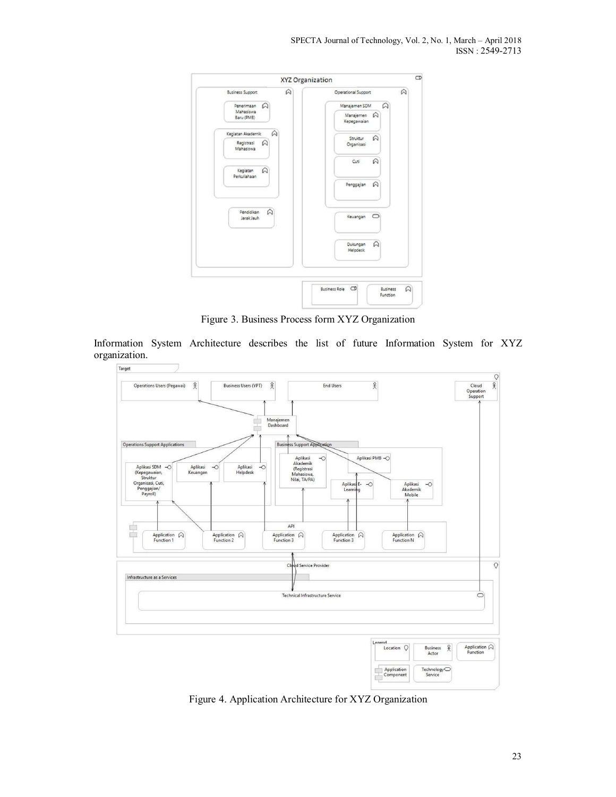| $\varpi$                             | XYZ Organization                           | $\hat{\omega}$ |
|--------------------------------------|--------------------------------------------|----------------|
| <b>Business Support</b>              | Operational Support                        |                |
| $\varpi$<br>Penerimaan               | $\varpi$<br>Manajemen SDM                  |                |
| Mahasiswa<br>Baru (PMB)              | Manajemen A<br>Kepegawaian                 |                |
| $\Omega$<br>Kegiatan Akademik        | $\varpi$<br>Struktur                       |                |
| $\varpi$<br>Registrasi<br>Mahasiswa  | Organisasi                                 |                |
| Kegiatan<br>$\Omega$                 | $\varpi$<br>Cub                            |                |
| Periculiahaan                        | $\Omega$<br>Penggajian                     |                |
| $\Omega$<br>Pendidikan<br>Jarak Jauh | Keuangan CD                                |                |
|                                      | A<br>Dukungan<br>Helpdesk                  |                |
|                                      | Business Role <b>CD</b><br><b>Business</b> | $\varpi$       |
|                                      | Function                                   |                |

Figure 3. Business Process form XYZ Organization

Information System Architecture describes the list of future Information System for XYZ organization.



Figure 4. Application Architecture for XYZ Organization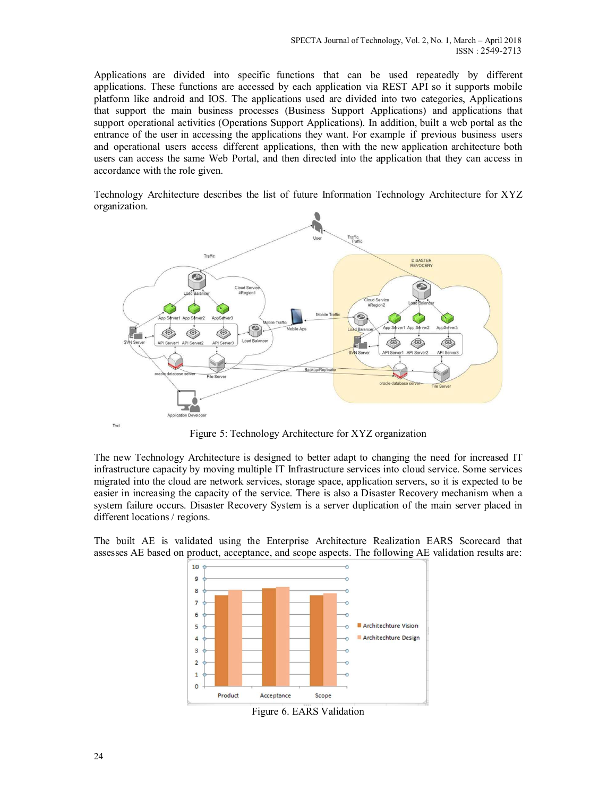Applications are divided into specific functions that can be used repeatedly by different applications. These functions are accessed by each application via REST API so it supports mobile platform like android and IOS. The applications used are divided into two categories, Applications that support the main business processes (Business Support Applications) and applications that support operational activities (Operations Support Applications). In addition, built a web portal as the entrance of the user in accessing the applications they want. For example if previous business users and operational users access different applications, then with the new application architecture both users can access the same Web Portal, and then directed into the application that they can access in accordance with the role given.

Technology Architecture describes the list of future Information Technology Architecture for XYZ organization.



Figure 5: Technology Architecture for XYZ organization

The new Technology Architecture is designed to better adapt to changing the need for increased IT infrastructure capacity by moving multiple IT Infrastructure services into cloud service. Some services migrated into the cloud are network services, storage space, application servers, so it is expected to be easier in increasing the capacity of the service. There is also a Disaster Recovery mechanism when a system failure occurs. Disaster Recovery System is a server duplication of the main server placed in different locations / regions.

The built AE is validated using the Enterprise Architecture Realization EARS Scorecard that assesses AE based on product, acceptance, and scope aspects. The following AE validation results are:



Figure 6. EARS Validation